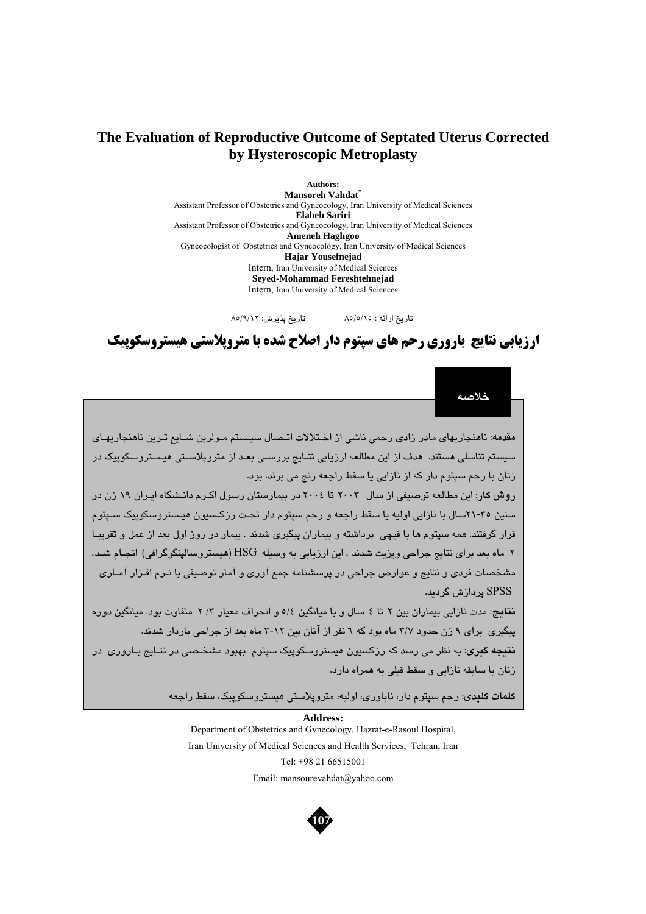## **The Evaluation of Reproductive Outcome of Septated Uterus Corrected by Hysteroscopic Metroplasty**

**Authors: Mansoreh Vahdat\***  Assistant Professor of Obstetrics and Gyneocology, Iran University of Medical Sciences **Elaheh Sariri**  Assistant Professor of Obstetrics and Gyneocology, Iran University of Medical Sciences **Ameneh Haghgoo**  Gyneocologist of Obstetrics and Gyneocology, Iran University of Medical Sciences **Hajar Yousefnejad**  Intern, Iran University of Medical Sciences **Seyed-Mohammad Fereshtehnejad**  Intern, Iran University of Medical Sciences

تاريخ ارائه : 85/5/15 تاريخ پذيرش: 85/9/12

# **ارزيابي نتايج باروري رحم هاي سپتوم دار اصلاح شده با متروپلاستي هيستروسكوپيك**

**خلاصه**

**مقدمه:** ناهنجاريهاي مادر زادي رحمي ناشي از اخـتلالات اتـصال سيـستم مـولرين شـايع تـرين ناهنجاريهـاي سيستم تناسلي هستند. هدف از اين مطالعه ارزيابي نتـايج بررسـي بعـد از متروپلاسـتي ه يـستروسكوپيك در زنان با رحم سپتوم دار كه از نازايي يا سقط راجعه رنج مي برند، بود.

**روش كار:** اين مطالعه توصيفي از سال 2003 تا 2004 در بيمارستان رسول اكـرم دانـشگاه ايـران 19 زن در سنين 21-35سال با نازايي اوليه يا سقط راجعه و رحم سپتوم دار تحـت رزكـسيون هيـستروسكوپيك سـپتوم قرار گرفتند. همه سپتوم ها با قيچي برداشته و بيماران پيگيري شدند . بيمار در روز اول بعد از عمل و تقريبـا 2 ماه بعد براي نتايج جراحي ويزيت شدند . اين ارزيابي به وسيله HSG) هيستروسالپنگوگرافي) انجـام شـد. مشخصات فردي و نتايج و عوارض جراحي در پرسشنامه جمع آوري و آمار توصيفي با نـرم افـزار آمـاري SPSS پردازش گرديد.

**نتايج:** مدت نازايي بيماران بين 2 تا 4 سال و با ميانگين 5/4 و انحراف معيار /3 2 متفاوت بود. ميانگين دوره پيگيري براي 9 زن حدود 3/7 ماه بود كه 6 نفر از آنان بين 3-12 ماه بعد از جراحي باردار شدند.

**نتيجه گيري:** به نظر مي رسد كه رزكسيون هيستروسكوپيك سپتوم بهبود مشخـصي در نتـايج بـاروري در زنان با سابقه نازايي و سقط قبلي به همراه دارد.

**كلمات كليدي:** رحم سپتوم دار، ناباوري، اوليه، متروپلاستي هيستروسكوپيك، سقط راجعه

 **Address:** Department of Obstetrics and Gynecology, Hazrat-e-Rasoul Hospital, Iran University of Medical Sciences and Health Services, Tehran, Iran Tel: +98 21 66515001 Email: mansourevahdat@yahoo.com

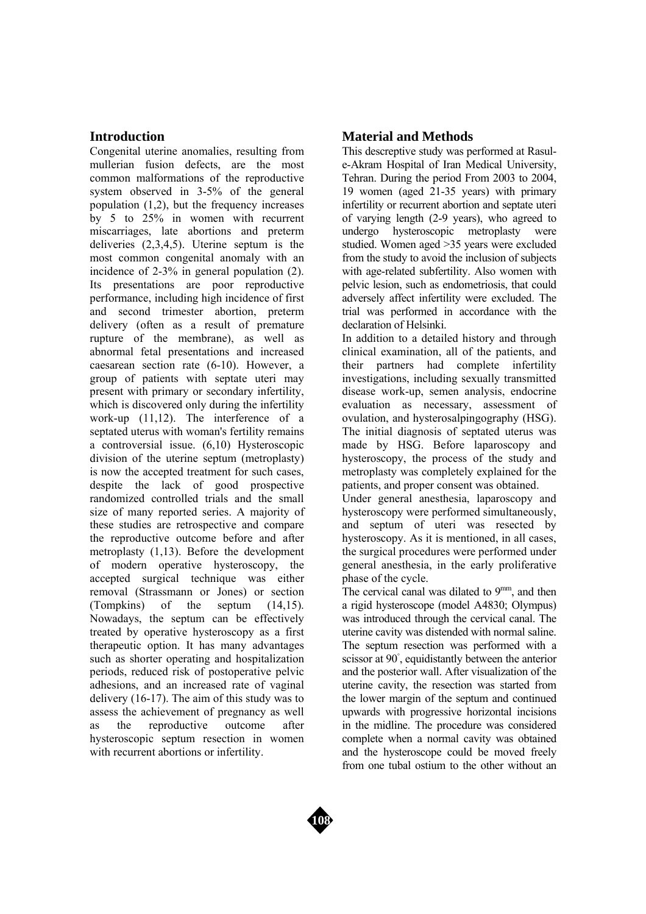### **Introduction**

Congenital uterine anomalies, resulting from mullerian fusion defects, are the most common malformations of the reproductive system observed in 3-5% of the general population (1,2), but the frequency increases by 5 to 25% in women with recurrent miscarriages, late abortions and preterm deliveries (2,3,4,5). Uterine septum is the most common congenital anomaly with an incidence of 2-3% in general population (2). Its presentations are poor reproductive performance, including high incidence of first and second trimester abortion, preterm delivery (often as a result of premature rupture of the membrane), as well as abnormal fetal presentations and increased caesarean section rate (6-10). However, a group of patients with septate uteri may present with primary or secondary infertility, which is discovered only during the infertility work-up (11,12). The interference of a septated uterus with woman's fertility remains a controversial issue. (6,10) Hysteroscopic division of the uterine septum (metroplasty) is now the accepted treatment for such cases, despite the lack of good prospective randomized controlled trials and the small size of many reported series. A majority of these studies are retrospective and compare the reproductive outcome before and after metroplasty (1,13). Before the development of modern operative hysteroscopy, the accepted surgical technique was either removal (Strassmann or Jones) or section (Tompkins) of the septum (14,15). Nowadays, the septum can be effectively treated by operative hysteroscopy as a first therapeutic option. It has many advantages such as shorter operating and hospitalization periods, reduced risk of postoperative pelvic adhesions, and an increased rate of vaginal delivery (16-17). The aim of this study was to assess the achievement of pregnancy as well as the reproductive outcome after hysteroscopic septum resection in women with recurrent abortions or infertility.

## **Material and Methods**

This descreptive study was performed at Rasule-Akram Hospital of Iran Medical University, Tehran. During the period From 2003 to 2004, 19 women (aged 21-35 years) with primary infertility or recurrent abortion and septate uteri of varying length (2-9 years), who agreed to undergo hysteroscopic metroplasty were studied. Women aged >35 years were excluded from the study to avoid the inclusion of subjects with age-related subfertility. Also women with pelvic lesion, such as endometriosis, that could adversely affect infertility were excluded. The trial was performed in accordance with the declaration of Helsinki.

In addition to a detailed history and through clinical examination, all of the patients, and their partners had complete infertility investigations, including sexually transmitted disease work-up, semen analysis, endocrine evaluation as necessary, assessment of ovulation, and hysterosalpingography (HSG). The initial diagnosis of septated uterus was made by HSG. Before laparoscopy and hysteroscopy, the process of the study and metroplasty was completely explained for the patients, and proper consent was obtained.

Under general anesthesia, laparoscopy and hysteroscopy were performed simultaneously, and septum of uteri was resected by hysteroscopy. As it is mentioned, in all cases, the surgical procedures were performed under general anesthesia, in the early proliferative phase of the cycle.

The cervical canal was dilated to  $9^{mm}$ , and then a rigid hysteroscope (model A4830; Olympus) was introduced through the cervical canal. The uterine cavity was distended with normal saline. The septum resection was performed with a scissor at 90◦ , equidistantly between the anterior and the posterior wall. After visualization of the uterine cavity, the resection was started from the lower margin of the septum and continued upwards with progressive horizontal incisions in the midline. The procedure was considered complete when a normal cavity was obtained and the hysteroscope could be moved freely from one tubal ostium to the other without an

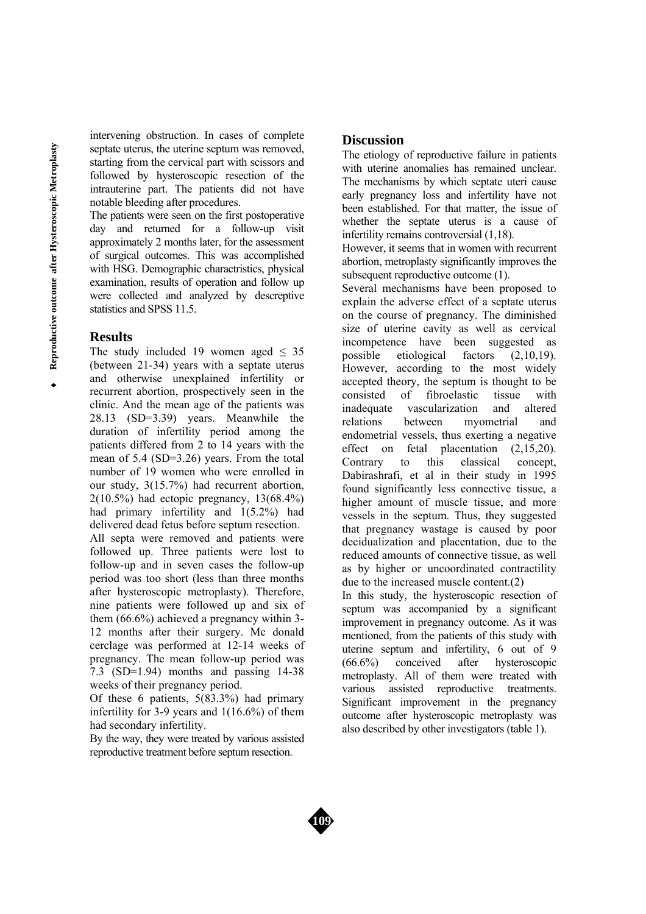intervening obstruction. In cases of complete septate uterus, the uterine septum was removed, starting from the cervical part with scissors and followed by hysteroscopic resection of the intrauterine part. The patients did not have notable bleeding after procedures.

The patients were seen on the first postoperative day and returned for a follow-up visit approximately 2 months later, for the assessment of surgical outcomes. This was accomplished with HSG. Demographic charactristics, physical examination, results of operation and follow up were collected and analyzed by descreptive statistics and SPSS 11.5.

#### **Results**

The study included 19 women aged  $\leq$  35 (between 21-34) years with a septate uterus and otherwise unexplained infertility or recurrent abortion, prospectively seen in the clinic. And the mean age of the patients was 28.13 (SD=3.39) years. Meanwhile the duration of infertility period among the patients differed from 2 to 14 years with the mean of 5.4 (SD=3.26) years. From the total number of 19 women who were enrolled in our study, 3(15.7%) had recurrent abortion, 2(10.5%) had ectopic pregnancy, 13(68.4%) had primary infertility and 1(5.2%) had delivered dead fetus before septum resection. All septa were removed and patients were followed up. Three patients were lost to follow-up and in seven cases the follow-up period was too short (less than three months after hysteroscopic metroplasty). Therefore, nine patients were followed up and six of them (66.6%) achieved a pregnancy within 3- 12 months after their surgery. Mc donald cerclage was performed at 12-14 weeks of pregnancy. The mean follow-up period was  $7.3$  (SD=1.94) months and passing 14-38 weeks of their pregnancy period.

Of these 6 patients, 5(83.3%) had primary infertility for 3-9 years and 1(16.6%) of them had secondary infertility.

By the way, they were treated by various assisted reproductive treatment before septum resection.

## **Discussion**

The etiology of reproductive failure in patients with uterine anomalies has remained unclear. The mechanisms by which septate uteri cause early pregnancy loss and infertility have not been established. For that matter, the issue of whether the septate uterus is a cause of infertility remains controversial (1,18).

However, it seems that in women with recurrent abortion, metroplasty significantly improves the subsequent reproductive outcome (1).

Several mechanisms have been proposed to explain the adverse effect of a septate uterus on the course of pregnancy. The diminished size of uterine cavity as well as cervical incompetence have been suggested as possible etiological factors (2,10,19). However, according to the most widely accepted theory, the septum is thought to be consisted of fibroelastic tissue with inadequate vascularization and altered relations between myometrial and endometrial vessels, thus exerting a negative effect on fetal placentation (2,15,20). Contrary to this classical concept, Dabirashrafi, et al in their study in 1995 found significantly less connective tissue, a higher amount of muscle tissue, and more vessels in the septum. Thus, they suggested that pregnancy wastage is caused by poor decidualization and placentation, due to the reduced amounts of connective tissue, as well as by higher or uncoordinated contractility due to the increased muscle content.(2) In this study, the hysteroscopic resection of septum was accompanied by a significant improvement in pregnancy outcome. As it was mentioned, from the patients of this study with

uterine septum and infertility, 6 out of 9<br>(66.6%) conceived after hysterosconic (66.6%) conceived after hysteroscopic metroplasty. All of them were treated with various assisted reproductive treatments. Significant improvement in the pregnancy outcome after hysteroscopic metroplasty was also described by other investigators (table 1).

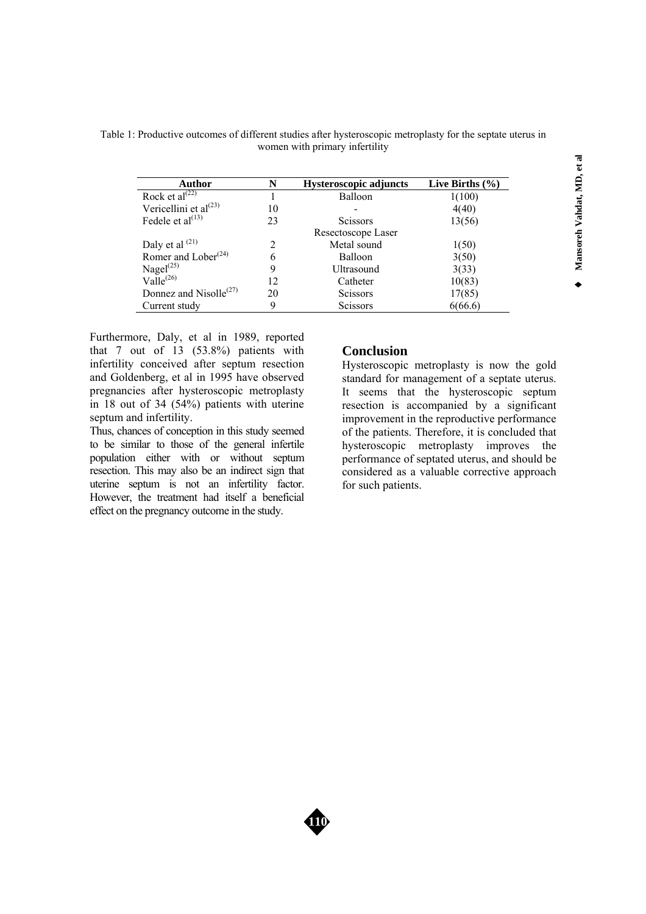Table 1: Productive outcomes of different studies after hysteroscopic metroplasty for the septate uterus in women with primary infertility

| Author                                          | N              | <b>Hysteroscopic adjuncts</b> | Live Births $(\% )$ |
|-------------------------------------------------|----------------|-------------------------------|---------------------|
| Rock et al $\sqrt{22}$                          |                | Balloon                       | 1(100)              |
| Vericellini et al <sup>(23)</sup>               | 10             |                               | 4(40)               |
| Fedele et al $^{(13)}$                          | 23             | <b>Scissors</b>               | 13(56)              |
|                                                 |                | Resectoscope Laser            |                     |
| Daly et al $(21)$                               | $\mathfrak{D}$ | Metal sound                   | 1(50)               |
| Romer and Lober <sup>(24)</sup>                 | 6              | <b>Balloon</b>                | 3(50)               |
| Nagel <sup>(25)</sup>                           | 9              | Ultrasound                    | 3(33)               |
| $Valle^{(26)}$                                  | 12             | Catheter                      | 10(83)              |
| Donnez and Nisolle <sup><math>(27)</math></sup> | 20             | <b>Scissors</b>               | 17(85)              |
| Current study                                   | 9              | <b>Scissors</b>               | 6(66.6)             |

Furthermore, Daly, et al in 1989, reported that 7 out of 13 (53.8%) patients with infertility conceived after septum resection and Goldenberg, et al in 1995 have observed pregnancies after hysteroscopic metroplasty in 18 out of 34 (54%) patients with uterine septum and infertility.

Thus, chances of conception in this study seemed to be similar to those of the general infertile population either with or without septum resection. This may also be an indirect sign that uterine septum is not an infertility factor. However, the treatment had itself a beneficial effect on the pregnancy outcome in the study.

## **Conclusion**

Hysteroscopic metroplasty is now the gold standard for management of a septate uterus. It seems that the hysteroscopic septum resection is accompanied by a significant improvement in the reproductive performance of the patients. Therefore, it is concluded that hysteroscopic metroplasty improves the performance of septated uterus, and should be considered as a valuable corrective approach for such patients.

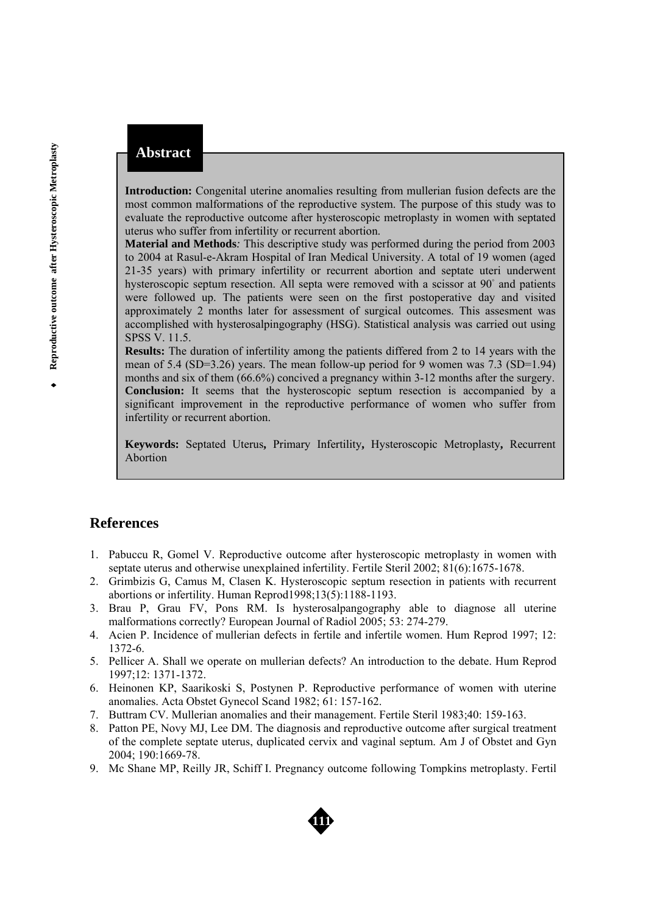**Introduction:** Congenital uterine anomalies resulting from mullerian fusion defects are the most common malformations of the reproductive system. The purpose of this study was to evaluate the reproductive outcome after hysteroscopic metroplasty in women with septated uterus who suffer from infertility or recurrent abortion.

**Material and Methods***:* This descriptive study was performed during the period from 2003 to 2004 at Rasul-e-Akram Hospital of Iran Medical University. A total of 19 women (aged 21-35 years) with primary infertility or recurrent abortion and septate uteri underwent hysteroscopic septum resection. All septa were removed with a scissor at 90° and patients were followed up. The patients were seen on the first postoperative day and visited approximately 2 months later for assessment of surgical outcomes. This assesment was accomplished with hysterosalpingography (HSG). Statistical analysis was carried out using SPSS V. 11.5.

**Results:** The duration of infertility among the patients differed from 2 to 14 years with the mean of 5.4 (SD=3.26) years. The mean follow-up period for 9 women was 7.3 (SD=1.94) months and six of them (66.6%) concived a pregnancy within 3-12 months after the surgery. **Conclusion:** It seems that the hysteroscopic septum resection is accompanied by a significant improvement in the reproductive performance of women who suffer from infertility or recurrent abortion.

**Keywords:** Septated Uterus**,** Primary Infertility**,** Hysteroscopic Metroplasty**,** Recurrent Abortion

## **References**

- 1. Pabuccu R, Gomel V. Reproductive outcome after hysteroscopic metroplasty in women with septate uterus and otherwise unexplained infertility. Fertile Steril 2002; 81(6):1675-1678.
- 2. Grimbizis G, Camus M, Clasen K. Hysteroscopic septum resection in patients with recurrent abortions or infertility. Human Reprod1998;13(5):1188-1193.
- 3. Brau P, Grau FV, Pons RM. Is hysterosalpangography able to diagnose all uterine malformations correctly? European Journal of Radiol 2005; 53: 274-279.
- 4. Acien P. Incidence of mullerian defects in fertile and infertile women. Hum Reprod 1997; 12: 1372-6.
- 5. Pellicer A. Shall we operate on mullerian defects? An introduction to the debate. Hum Reprod 1997;12: 1371-1372.
- 6. Heinonen KP, Saarikoski S, Postynen P. Reproductive performance of women with uterine anomalies. Acta Obstet Gynecol Scand 1982; 61: 157-162.
- 7. Buttram CV. Mullerian anomalies and their management. Fertile Steril 1983;40: 159-163.
- 8. Patton PE, Novy MJ, Lee DM. The diagnosis and reproductive outcome after surgical treatment of the complete septate uterus, duplicated cervix and vaginal septum. Am J of Obstet and Gyn 2004; 190:1669-78.
- 9. Mc Shane MP, Reilly JR, Schiff I. Pregnancy outcome following Tompkins metroplasty. Fertil